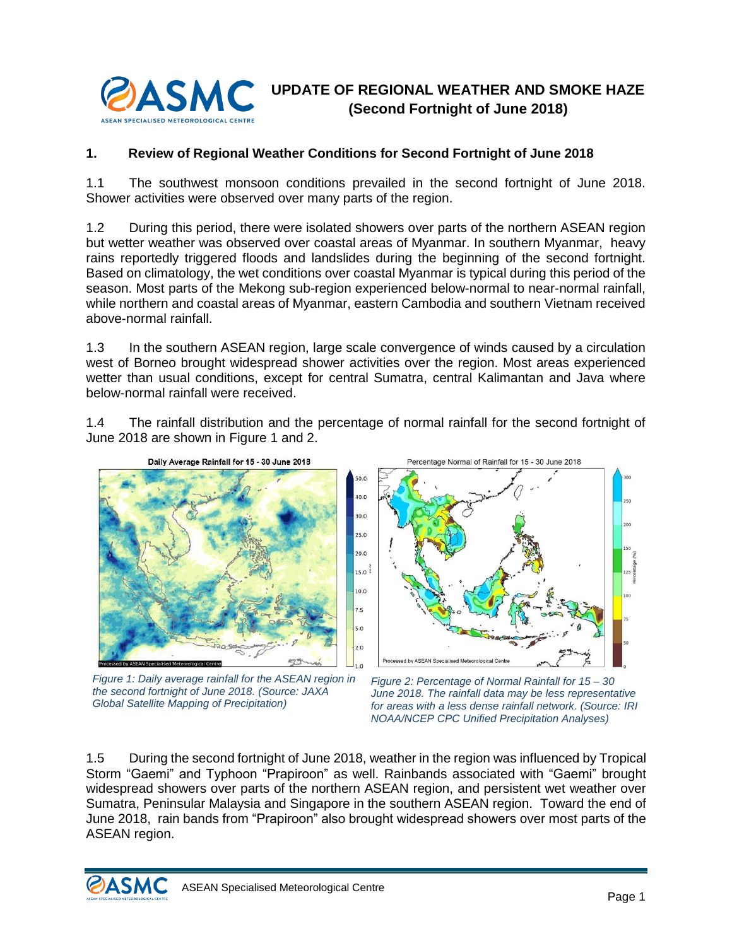

## **1. Review of Regional Weather Conditions for Second Fortnight of June 2018**

1.1 The southwest monsoon conditions prevailed in the second fortnight of June 2018. Shower activities were observed over many parts of the region.

1.2 During this period, there were isolated showers over parts of the northern ASEAN region but wetter weather was observed over coastal areas of Myanmar. In southern Myanmar, heavy rains reportedly triggered floods and landslides during the beginning of the second fortnight. Based on climatology, the wet conditions over coastal Myanmar is typical during this period of the season. Most parts of the Mekong sub-region experienced below-normal to near-normal rainfall, while northern and coastal areas of Myanmar, eastern Cambodia and southern Vietnam received above-normal rainfall.

1.3 In the southern ASEAN region, large scale convergence of winds caused by a circulation west of Borneo brought widespread shower activities over the region. Most areas experienced wetter than usual conditions, except for central Sumatra, central Kalimantan and Java where below-normal rainfall were received.

1.4 The rainfall distribution and the percentage of normal rainfall for the second fortnight of June 2018 are shown in [Figure 1](#page-0-0) and 2.



<span id="page-0-0"></span>*Figure 1: Daily average rainfall for the ASEAN region in the second fortnight of June 2018. (Source: JAXA Global Satellite Mapping of Precipitation)*



*Figure 2: Percentage of Normal Rainfall for 15 – 30 June 2018. The rainfall data may be less representative for areas with a less dense rainfall network. (Source: IRI NOAA/NCEP CPC Unified Precipitation Analyses)*

1.5 During the second fortnight of June 2018, weather in the region was influenced by Tropical Storm "Gaemi" and Typhoon "Prapiroon" as well. Rainbands associated with "Gaemi" brought widespread showers over parts of the northern ASEAN region, and persistent wet weather over Sumatra, Peninsular Malaysia and Singapore in the southern ASEAN region. Toward the end of June 2018, rain bands from "Prapiroon" also brought widespread showers over most parts of the ASEAN region.

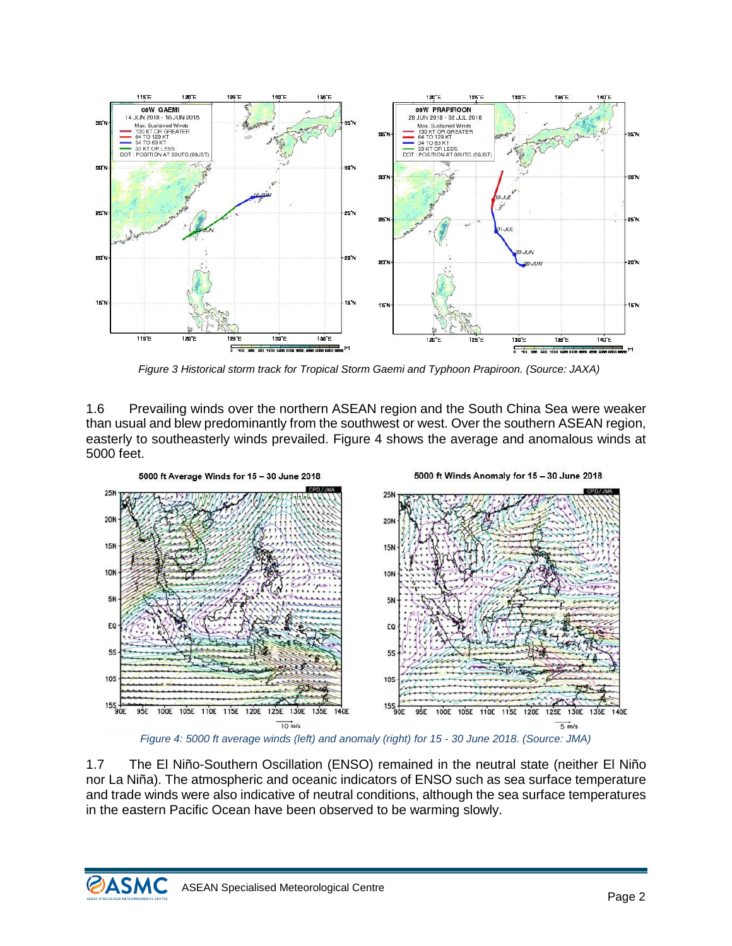

*Figure 3 Historical storm track for Tropical Storm Gaemi and Typhoon Prapiroon. (Source: JAXA)*

1.6 Prevailing winds over the northern ASEAN region and the South China Sea were weaker than usual and blew predominantly from the southwest or west. Over the southern ASEAN region, easterly to southeasterly winds prevailed. [Figure 4](#page-1-0) shows the average and anomalous winds at 5000 feet.



*Figure 4: 5000 ft average winds (left) and anomaly (right) for 15 - 30 June 2018. (Source: JMA)*

<span id="page-1-0"></span>1.7 The El Niño-Southern Oscillation (ENSO) remained in the neutral state (neither El Niño nor La Niña). The atmospheric and oceanic indicators of ENSO such as sea surface temperature and trade winds were also indicative of neutral conditions, although the sea surface temperatures in the eastern Pacific Ocean have been observed to be warming slowly.

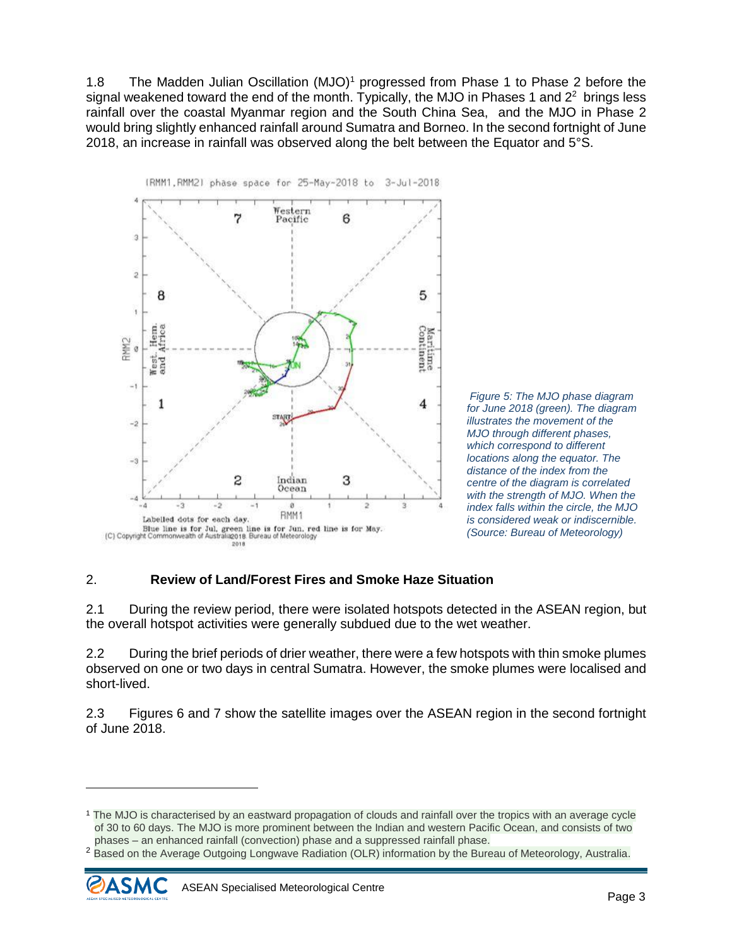1.8 The Madden Julian Oscillation (MJO)<sup>1</sup> progressed from Phase 1 to Phase 2 before the signal weakened toward the end of the month. Typically, the MJO in Phases 1 and  $2<sup>2</sup>$  brings less rainfall over the coastal Myanmar region and the South China Sea, and the MJO in Phase 2 would bring slightly enhanced rainfall around Sumatra and Borneo. In the second fortnight of June 2018, an increase in rainfall was observed along the belt between the Equator and 5°S.





## 2. **Review of Land/Forest Fires and Smoke Haze Situation**

2.1 During the review period, there were isolated hotspots detected in the ASEAN region, but the overall hotspot activities were generally subdued due to the wet weather.

2.2 During the brief periods of drier weather, there were a few hotspots with thin smoke plumes observed on one or two days in central Sumatra. However, the smoke plumes were localised and short-lived.

2.3 Figures 6 and 7 show the satellite images over the ASEAN region in the second fortnight of June 2018.

<sup>&</sup>lt;sup>2</sup> Based on the Average Outgoing Longwave Radiation (OLR) information by the Bureau of Meteorology, Australia.



 $\overline{a}$ 

<sup>1</sup> The MJO is characterised by an eastward propagation of clouds and rainfall over the tropics with an average cycle of 30 to 60 days. The MJO is more prominent between the Indian and western Pacific Ocean, and consists of two phases – an enhanced rainfall (convection) phase and a suppressed rainfall phase.